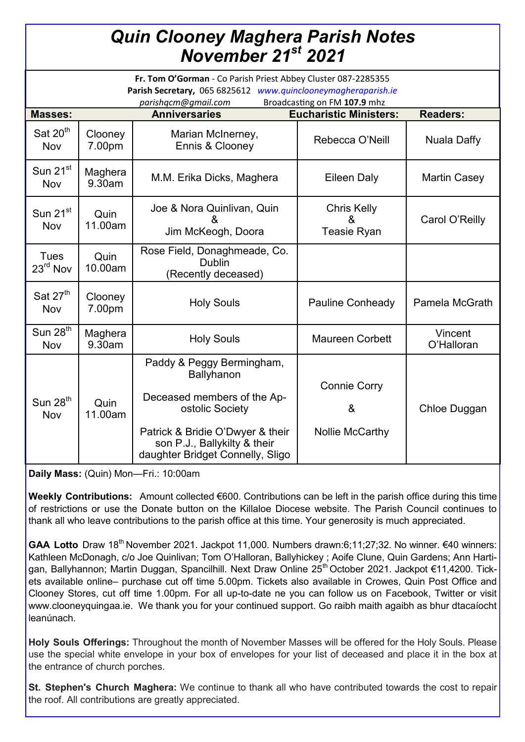## *Quin Clooney Maghera Parish Notes November 21st 2021*

| Fr. Tom O'Gorman - Co Parish Priest Abbey Cluster 087-2285355<br>Parish Secretary, 065 6825612 www.quinclooneymagheraparish.ie<br>Broadcasting on FM 107.9 mhz |                   |                                                                                                                                                                                                          |                                               |                       |
|----------------------------------------------------------------------------------------------------------------------------------------------------------------|-------------------|----------------------------------------------------------------------------------------------------------------------------------------------------------------------------------------------------------|-----------------------------------------------|-----------------------|
| <b>Masses:</b>                                                                                                                                                 |                   | parishqcm@gmail.com<br><b>Anniversaries</b>                                                                                                                                                              | <b>Eucharistic Ministers:</b>                 | <b>Readers:</b>       |
| Sat 20 <sup>th</sup><br><b>Nov</b>                                                                                                                             | Clooney<br>7.00pm | Marian McInerney,<br>Ennis & Clooney                                                                                                                                                                     | Rebecca O'Neill                               | Nuala Daffy           |
| Sun $21^{st}$<br><b>Nov</b>                                                                                                                                    | Maghera<br>9.30am | M.M. Erika Dicks, Maghera                                                                                                                                                                                | <b>Eileen Daly</b>                            | <b>Martin Casey</b>   |
| Sun $21^{st}$<br>Nov                                                                                                                                           | Quin<br>11.00am   | Joe & Nora Quinlivan, Quin<br>Jim McKeogh, Doora                                                                                                                                                         | <b>Chris Kelly</b><br>&<br><b>Teasie Ryan</b> | Carol O'Reilly        |
| <b>Tues</b><br>23 <sup>rd</sup> Nov                                                                                                                            | Quin<br>10.00am   | Rose Field, Donaghmeade, Co.<br><b>Dublin</b><br>(Recently deceased)                                                                                                                                     |                                               |                       |
| Sat 27 <sup>th</sup><br><b>Nov</b>                                                                                                                             | Clooney<br>7.00pm | <b>Holy Souls</b>                                                                                                                                                                                        | <b>Pauline Conheady</b>                       | <b>Pamela McGrath</b> |
| Sun $28th$<br>Nov                                                                                                                                              | Maghera<br>9.30am | <b>Holy Souls</b>                                                                                                                                                                                        | <b>Maureen Corbett</b>                        | Vincent<br>O'Halloran |
| Sun $28th$<br>Nov                                                                                                                                              | Quin<br>11.00am   | Paddy & Peggy Bermingham,<br><b>Ballyhanon</b><br>Deceased members of the Ap-<br>ostolic Society<br>Patrick & Bridie O'Dwyer & their<br>son P.J., Ballykilty & their<br>daughter Bridget Connelly, Sligo | <b>Connie Corry</b><br>&<br>Nollie McCarthy   | Chloe Duggan          |

**Daily Mass:** (Quin) Mon—Fri.: 10:00am

**Weekly Contributions:** Amount collected €600. Contributions can be left in the parish office during this time of restrictions or use the Donate button on the Killaloe Diocese website. The Parish Council continues to thank all who leave contributions to the parish office at this time. Your generosity is much appreciated.

GAA Lotto Draw 18<sup>th</sup> November 2021. Jackpot 11,000. Numbers drawn:6;11;27;32. No winner. €40 winners: Kathleen McDonagh, c/o Joe Quinlivan; Tom O'Halloran, Ballyhickey ; Aoife Clune, Quin Gardens; Ann Hartigan, Ballyhannon; Martin Duggan, Spancilhill. Next Draw Online 25<sup>th</sup> October 2021. Jackpot €11,4200. Tickets available online– purchase cut off time 5.00pm. Tickets also available in Crowes, Quin Post Office and Clooney Stores, cut off time 1.00pm. For all up-to-date ne you can follow us on Facebook, Twitter or visit www.clooneyquingaa.ie. We thank you for your continued support. Go raibh maith agaibh as bhur dtacaíocht leanúnach.

**Holy Souls Offerings:** Throughout the month of November Masses will be offered for the Holy Souls. Please use the special white envelope in your box of envelopes for your list of deceased and place it in the box at the entrance of church porches.

**St. Stephen's Church Maghera:** We continue to thank all who have contributed towards the cost to repair the roof. All contributions are greatly appreciated.